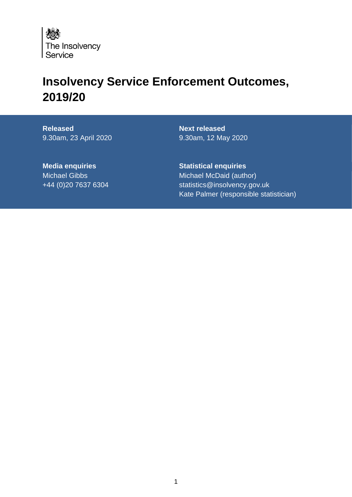

# **Insolvency Service Enforcement Outcomes, 2019/20**

**Released** 9.30am, 23 April 2020

**Next released** 9.30am, 12 May 2020

**Media enquiries** Michael Gibbs +44 (0)20 7637 6304 **Statistical enquiries** Michael McDaid (author) statistics@insolvency.gov.uk Kate Palmer (responsible statistician)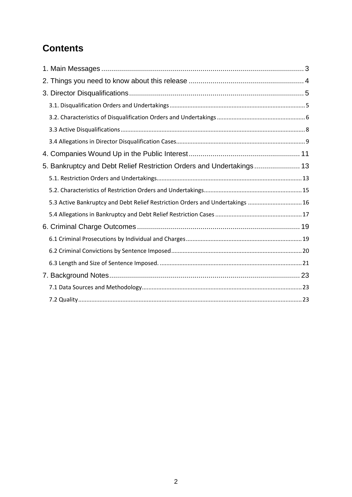## **Contents**

| 5. Bankruptcy and Debt Relief Restriction Orders and Undertakings 13          |  |
|-------------------------------------------------------------------------------|--|
|                                                                               |  |
|                                                                               |  |
| 5.3 Active Bankruptcy and Debt Relief Restriction Orders and Undertakings  16 |  |
|                                                                               |  |
|                                                                               |  |
|                                                                               |  |
|                                                                               |  |
|                                                                               |  |
|                                                                               |  |
|                                                                               |  |
|                                                                               |  |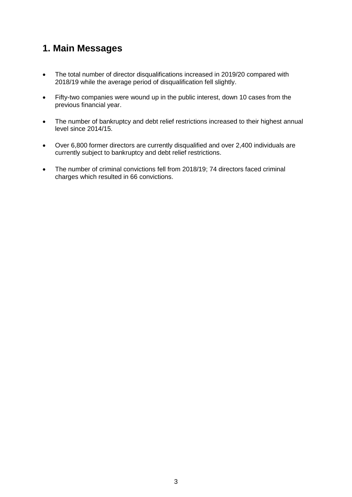## <span id="page-2-0"></span>**1. Main Messages**

- The total number of director disqualifications increased in 2019/20 compared with 2018/19 while the average period of disqualification fell slightly.
- Fifty-two companies were wound up in the public interest, down 10 cases from the previous financial year.
- The number of bankruptcy and debt relief restrictions increased to their highest annual level since 2014/15.
- Over 6,800 former directors are currently disqualified and over 2,400 individuals are currently subject to bankruptcy and debt relief restrictions.
- The number of criminal convictions fell from 2018/19; 74 directors faced criminal charges which resulted in 66 convictions.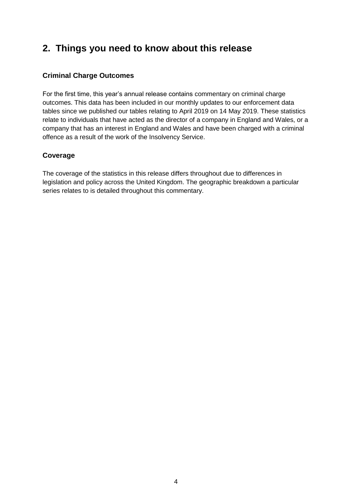## <span id="page-3-0"></span>**2. Things you need to know about this release**

#### **Criminal Charge Outcomes**

For the first time, this year's annual release contains commentary on criminal charge outcomes. This data has been included in our monthly updates to our enforcement data tables since we published our tables relating to April 2019 on 14 May 2019. These statistics relate to individuals that have acted as the director of a company in England and Wales, or a company that has an interest in England and Wales and have been charged with a criminal offence as a result of the work of the Insolvency Service.

#### **Coverage**

The coverage of the statistics in this release differs throughout due to differences in legislation and policy across the United Kingdom. The geographic breakdown a particular series relates to is detailed throughout this commentary.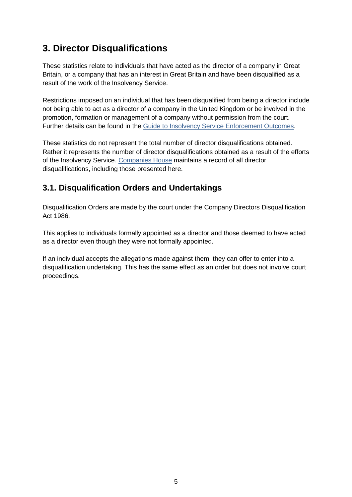## <span id="page-4-0"></span>**3. Director Disqualifications**

These statistics relate to individuals that have acted as the director of a company in Great Britain, or a company that has an interest in Great Britain and have been disqualified as a result of the work of the Insolvency Service.

Restrictions imposed on an individual that has been disqualified from being a director include not being able to act as a director of a company in the United Kingdom or be involved in the promotion, formation or management of a company without permission from the court. Further details can be found in the [Guide to Insolvency Service Enforcement Outcomes.](https://www.gov.uk/government/publications/guide-to-insolvency-service-enforcement-outcomes)

These statistics do not represent the total number of director disqualifications obtained. Rather it represents the number of director disqualifications obtained as a result of the efforts of the Insolvency Service. [Companies House](https://www.gov.uk/government/organisations/companies-house) maintains a record of all director disqualifications, including those presented here.

### <span id="page-4-1"></span>**3.1. Disqualification Orders and Undertakings**

Disqualification Orders are made by the court under the Company Directors Disqualification Act 1986.

This applies to individuals formally appointed as a director and those deemed to have acted as a director even though they were not formally appointed.

If an individual accepts the allegations made against them, they can offer to enter into a disqualification undertaking. This has the same effect as an order but does not involve court proceedings.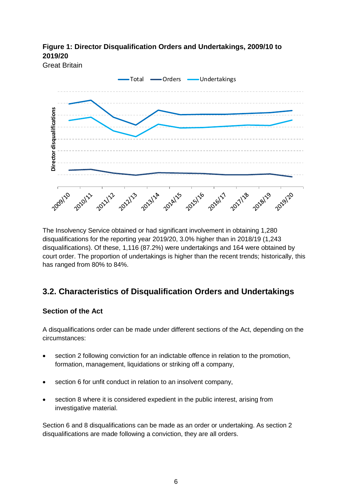**Figure 1: Director Disqualification Orders and Undertakings, 2009/10 to 2019/20** 



The Insolvency Service obtained or had significant involvement in obtaining 1,280 disqualifications for the reporting year 2019/20, 3.0% higher than in 2018/19 (1,243 disqualifications). Of these, 1,116 (87.2%) were undertakings and 164 were obtained by court order. The proportion of undertakings is higher than the recent trends; historically, this has ranged from 80% to 84%.

## <span id="page-5-0"></span>**3.2. Characteristics of Disqualification Orders and Undertakings**

#### **Section of the Act**

A disqualifications order can be made under different sections of the Act, depending on the circumstances:

- section 2 following conviction for an indictable offence in relation to the promotion, formation, management, liquidations or striking off a company,
- section 6 for unfit conduct in relation to an insolvent company,
- section 8 where it is considered expedient in the public interest, arising from investigative material.

Section 6 and 8 disqualifications can be made as an order or undertaking. As section 2 disqualifications are made following a conviction, they are all orders.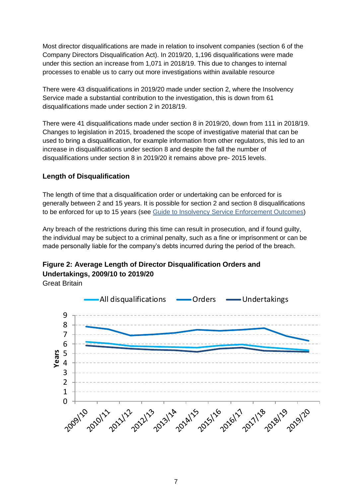Most director disqualifications are made in relation to insolvent companies (section 6 of the Company Directors Disqualification Act). In 2019/20, 1,196 disqualifications were made under this section an increase from 1,071 in 2018/19. This due to changes to internal processes to enable us to carry out more investigations within available resource

There were 43 disqualifications in 2019/20 made under section 2, where the Insolvency Service made a substantial contribution to the investigation, this is down from 61 disqualifications made under section 2 in 2018/19.

There were 41 disqualifications made under section 8 in 2019/20, down from 111 in 2018/19. Changes to legislation in 2015, broadened the scope of investigative material that can be used to bring a disqualification, for example information from other regulators, this led to an increase in disqualifications under section 8 and despite the fall the number of disqualifications under section 8 in 2019/20 it remains above pre- 2015 levels.

#### **Length of Disqualification**

The length of time that a disqualification order or undertaking can be enforced for is generally between 2 and 15 years. It is possible for section 2 and section 8 disqualifications to be enforced for up to 15 years (see [Guide to Insolvency Service Enforcement Outcomes\)](https://www.gov.uk/government/publications/guide-to-insolvency-service-enforcement-outcomes)

Any breach of the restrictions during this time can result in prosecution, and if found guilty, the individual may be subject to a criminal penalty, such as a fine or imprisonment or can be made personally liable for the company's debts incurred during the period of the breach.

#### **Figure 2: Average Length of Director Disqualification Orders and Undertakings, 2009/10 to 2019/20**

Great Britain

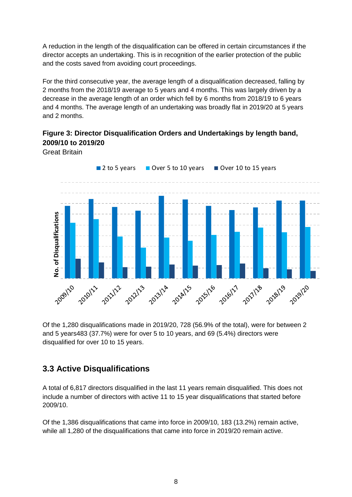A reduction in the length of the disqualification can be offered in certain circumstances if the director accepts an undertaking. This is in recognition of the earlier protection of the public and the costs saved from avoiding court proceedings.

For the third consecutive year, the average length of a disqualification decreased, falling by 2 months from the 2018/19 average to 5 years and 4 months. This was largely driven by a decrease in the average length of an order which fell by 6 months from 2018/19 to 6 years and 4 months. The average length of an undertaking was broadly flat in 2019/20 at 5 years and 2 months.

### **Figure 3: Director Disqualification Orders and Undertakings by length band, 2009/10 to 2019/20**

Great Britain



Of the 1,280 disqualifications made in 2019/20, 728 (56.9% of the total), were for between 2 and 5 years483 (37.7%) were for over 5 to 10 years, and 69 (5.4%) directors were disqualified for over 10 to 15 years.

### <span id="page-7-0"></span>**3.3 Active Disqualifications**

A total of 6,817 directors disqualified in the last 11 years remain disqualified. This does not include a number of directors with active 11 to 15 year disqualifications that started before 2009/10.

Of the 1,386 disqualifications that came into force in 2009/10, 183 (13.2%) remain active, while all 1,280 of the disqualifications that came into force in 2019/20 remain active.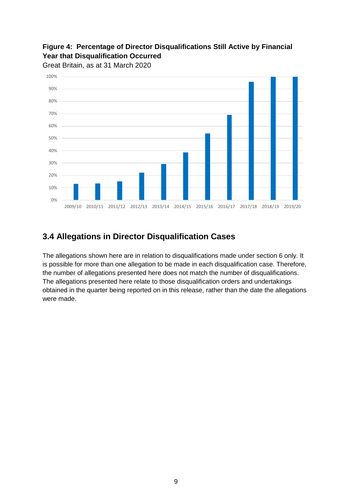## **Figure 4: Percentage of Director Disqualifications Still Active by Financial Year that Disqualification Occurred**





## <span id="page-8-0"></span>**3.4 Allegations in Director Disqualification Cases**

The allegations shown here are in relation to disqualifications made under section 6 only. It is possible for more than one allegation to be made in each disqualification case. Therefore, the number of allegations presented here does not match the number of disqualifications. The allegations presented here relate to those disqualification orders and undertakings obtained in the quarter being reported on in this release, rather than the date the allegations were made.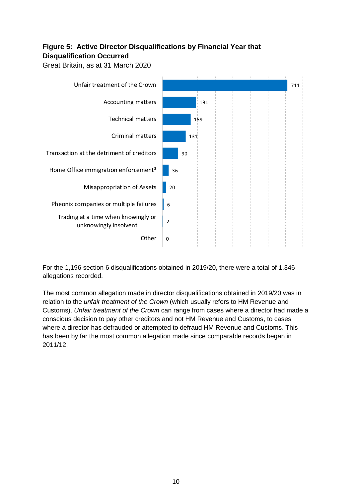#### **Figure 5: Active Director Disqualifications by Financial Year that Disqualification Occurred**

Great Britain, as at 31 March 2020



For the 1,196 section 6 disqualifications obtained in 2019/20, there were a total of 1,346 allegations recorded.

The most common allegation made in director disqualifications obtained in 2019/20 was in relation to the *unfair treatment of the Crown* (which usually refers to HM Revenue and Customs). *Unfair treatment of the Crown* can range from cases where a director had made a conscious decision to pay other creditors and not HM Revenue and Customs, to cases where a director has defrauded or attempted to defraud HM Revenue and Customs. This has been by far the most common allegation made since comparable records began in 2011/12.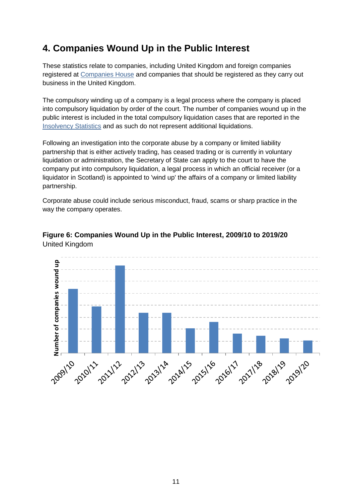## <span id="page-10-0"></span>**4. Companies Wound Up in the Public Interest**

These statistics relate to companies, including United Kingdom and foreign companies registered at [Companies House](https://www.gov.uk/government/organisations/companies-house) and companies that should be registered as they carry out business in the United Kingdom.

The compulsory winding up of a company is a legal process where the company is placed into compulsory liquidation by order of the court. The number of companies wound up in the public interest is included in the total compulsory liquidation cases that are reported in the [Insolvency Statistics](http://www.gov.uk/government/collections/insolvency-service-official-statistics) and as such do not represent additional liquidations.

Following an investigation into the corporate abuse by a company or limited liability partnership that is either actively trading, has ceased trading or is currently in voluntary liquidation or administration, the Secretary of State can apply to the court to have the company put into compulsory liquidation, a legal process in which an official receiver (or a liquidator in Scotland) is appointed to 'wind up' the affairs of a company or limited liability partnership.

Corporate abuse could include serious misconduct, fraud, scams or sharp practice in the way the company operates.



**Figure 6: Companies Wound Up in the Public Interest, 2009/10 to 2019/20** United Kingdom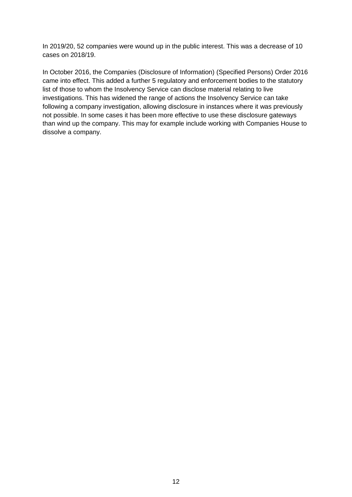In 2019/20, 52 companies were wound up in the public interest. This was a decrease of 10 cases on 2018/19.

In October 2016, the Companies (Disclosure of Information) (Specified Persons) Order 2016 came into effect. This added a further 5 regulatory and enforcement bodies to the statutory list of those to whom the Insolvency Service can disclose material relating to live investigations. This has widened the range of actions the Insolvency Service can take following a company investigation, allowing disclosure in instances where it was previously not possible. In some cases it has been more effective to use these disclosure gateways than wind up the company. This may for example include working with Companies House to dissolve a company.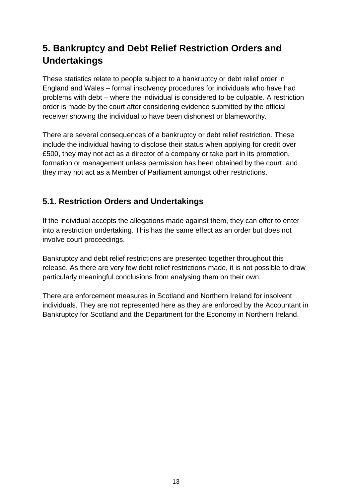## <span id="page-12-0"></span>**5. Bankruptcy and Debt Relief Restriction Orders and Undertakings**

These statistics relate to people subject to a bankruptcy or debt relief order in England and Wales – formal insolvency procedures for individuals who have had problems with debt – where the individual is considered to be culpable. A restriction order is made by the court after considering evidence submitted by the official receiver showing the individual to have been dishonest or blameworthy.

There are several consequences of a bankruptcy or debt relief restriction. These include the individual having to disclose their status when applying for credit over £500, they may not act as a director of a company or take part in its promotion, formation or management unless permission has been obtained by the court, and they may not act as a Member of Parliament amongst other restrictions.

## <span id="page-12-1"></span>**5.1. Restriction Orders and Undertakings**

If the individual accepts the allegations made against them, they can offer to enter into a restriction undertaking. This has the same effect as an order but does not involve court proceedings.

Bankruptcy and debt relief restrictions are presented together throughout this release. As there are very few debt relief restrictions made, it is not possible to draw particularly meaningful conclusions from analysing them on their own.

There are enforcement measures in Scotland and Northern Ireland for insolvent individuals. They are not represented here as they are enforced by the Accountant in Bankruptcy for Scotland and the Department for the Economy in Northern Ireland.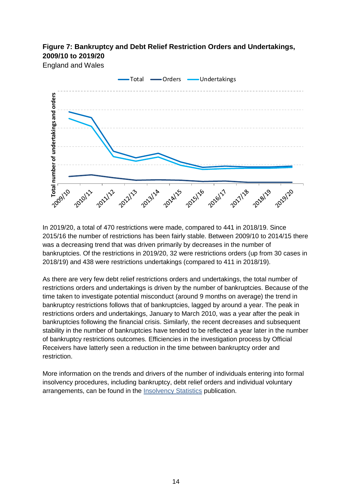#### **Figure 7: Bankruptcy and Debt Relief Restriction Orders and Undertakings, 2009/10 to 2019/20**

England and Wales



In 2019/20, a total of 470 restrictions were made, compared to 441 in 2018/19. Since 2015/16 the number of restrictions has been fairly stable. Between 2009/10 to 2014/15 there was a decreasing trend that was driven primarily by decreases in the number of bankruptcies. Of the restrictions in 2019/20, 32 were restrictions orders (up from 30 cases in 2018/19) and 438 were restrictions undertakings (compared to 411 in 2018/19).

As there are very few debt relief restrictions orders and undertakings, the total number of restrictions orders and undertakings is driven by the number of bankruptcies. Because of the time taken to investigate potential misconduct (around 9 months on average) the trend in bankruptcy restrictions follows that of bankruptcies, lagged by around a year. The peak in restrictions orders and undertakings, January to March 2010, was a year after the peak in bankruptcies following the financial crisis. Similarly, the recent decreases and subsequent stability in the number of bankruptcies have tended to be reflected a year later in the number of bankruptcy restrictions outcomes. Efficiencies in the investigation process by Official Receivers have latterly seen a reduction in the time between bankruptcy order and restriction.

More information on the trends and drivers of the number of individuals entering into formal insolvency procedures, including bankruptcy, debt relief orders and individual voluntary arrangements, can be found in the [Insolvency Statistics](http://www.gov.uk/government/collections/insolvency-service-official-statistics) publication.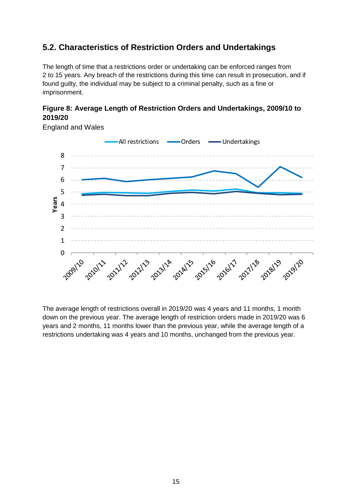## <span id="page-14-0"></span>**5.2. Characteristics of Restriction Orders and Undertakings**

The length of time that a restrictions order or undertaking can be enforced ranges from 2 to 15 years. Any breach of the restrictions during this time can result in prosecution, and if found guilty, the individual may be subject to a criminal penalty, such as a fine or imprisonment.

#### **Figure 8: Average Length of Restriction Orders and Undertakings, 2009/10 to 2019/20**



England and Wales

The average length of restrictions overall in 2019/20 was 4 years and 11 months, 1 month down on the previous year. The average length of restriction orders made in 2019/20 was 6 years and 2 months, 11 months lower than the previous year, while the average length of a restrictions undertaking was 4 years and 10 months, unchanged from the previous year.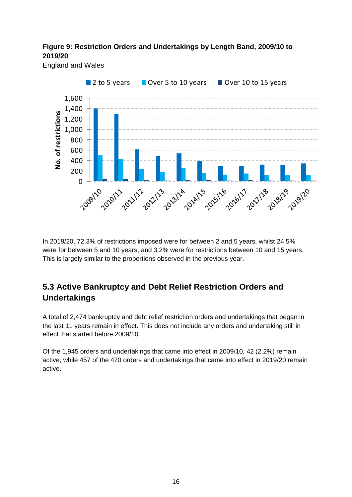#### **Figure 9: Restriction Orders and Undertakings by Length Band, 2009/10 to 2019/20**

England and Wales



In 2019/20, 72.3% of restrictions imposed were for between 2 and 5 years, whilst 24.5% were for between 5 and 10 years, and 3.2% were for restrictions between 10 and 15 years. This is largely similar to the proportions observed in the previous year.

## <span id="page-15-0"></span>**5.3 Active Bankruptcy and Debt Relief Restriction Orders and Undertakings**

A total of 2,474 bankruptcy and debt relief restriction orders and undertakings that began in the last 11 years remain in effect. This does not include any orders and undertaking still in effect that started before 2009/10.

Of the 1,945 orders and undertakings that came into effect in 2009/10, 42 (2.2%) remain active, while 457 of the 470 orders and undertakings that came into effect in 2019/20 remain active.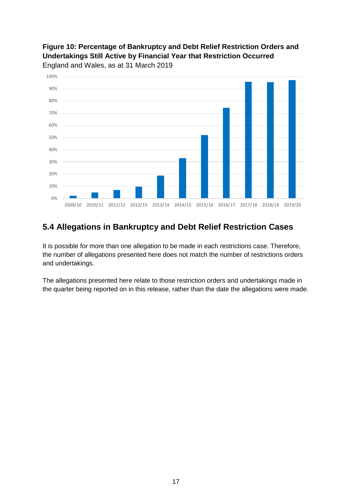#### **Figure 10: Percentage of Bankruptcy and Debt Relief Restriction Orders and Undertakings Still Active by Financial Year that Restriction Occurred** England and Wales, as at 31 March 2019



### <span id="page-16-0"></span>**5.4 Allegations in Bankruptcy and Debt Relief Restriction Cases**

It is possible for more than one allegation to be made in each restrictions case. Therefore, the number of allegations presented here does not match the number of restrictions orders and undertakings.

The allegations presented here relate to those restriction orders and undertakings made in the quarter being reported on in this release, rather than the date the allegations were made.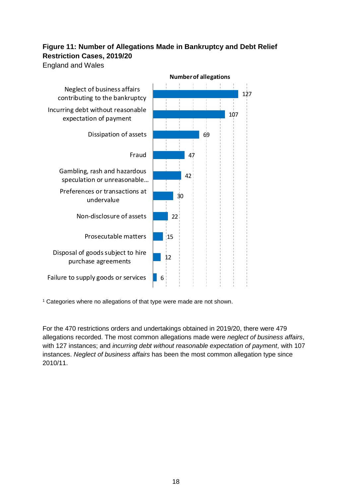### **Figure 11: Number of Allegations Made in Bankruptcy and Debt Relief Restriction Cases, 2019/20**

England and Wales



<sup>1</sup> Categories where no allegations of that type were made are not shown.

For the 470 restrictions orders and undertakings obtained in 2019/20, there were 479 allegations recorded. The most common allegations made were *neglect of business affairs*, with 127 instances; and *incurring debt without reasonable expectation of payment*, with 107 instances. *Neglect of business affairs* has been the most common allegation type since 2010/11.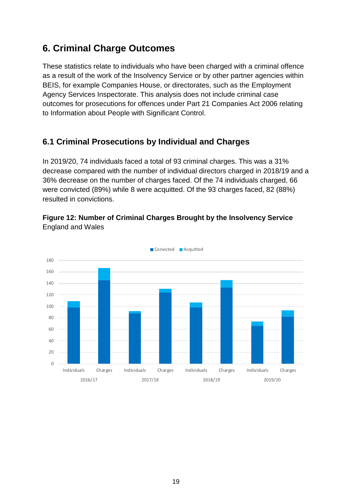## <span id="page-18-0"></span>**6. Criminal Charge Outcomes**

These statistics relate to individuals who have been charged with a criminal offence as a result of the work of the Insolvency Service or by other partner agencies within BEIS, for example Companies House, or directorates, such as the Employment Agency Services Inspectorate. This analysis does not include criminal case outcomes for prosecutions for offences under Part 21 Companies Act 2006 relating to Information about People with Significant Control.

## <span id="page-18-1"></span>**6.1 Criminal Prosecutions by Individual and Charges**

In 2019/20, 74 individuals faced a total of 93 criminal charges. This was a 31% decrease compared with the number of individual directors charged in 2018/19 and a 36% decrease on the number of charges faced. Of the 74 individuals charged, 66 were convicted (89%) while 8 were acquitted. Of the 93 charges faced, 82 (88%) resulted in convictions.

#### **Figure 12: Number of Criminal Charges Brought by the Insolvency Service**  England and Wales

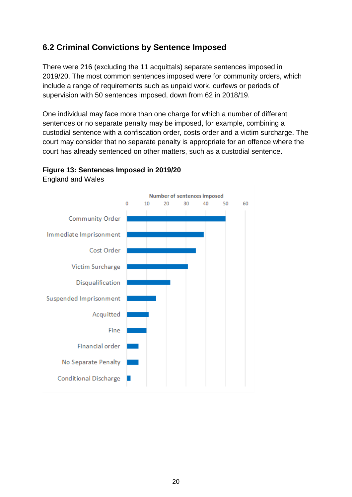## <span id="page-19-0"></span>**6.2 Criminal Convictions by Sentence Imposed**

There were 216 (excluding the 11 acquittals) separate sentences imposed in 2019/20. The most common sentences imposed were for community orders, which include a range of requirements such as unpaid work, curfews or periods of supervision with 50 sentences imposed, down from 62 in 2018/19.

One individual may face more than one charge for which a number of different sentences or no separate penalty may be imposed, for example, combining a custodial sentence with a confiscation order, costs order and a victim surcharge. The court may consider that no separate penalty is appropriate for an offence where the court has already sentenced on other matters, such as a custodial sentence.



#### **Figure 13: Sentences Imposed in 2019/20**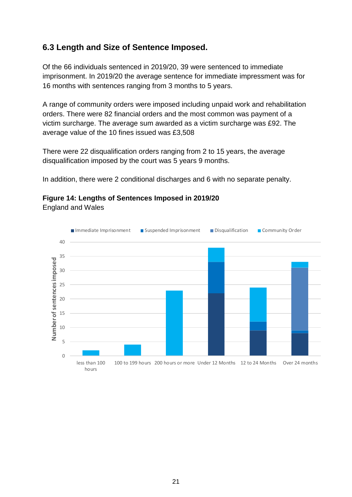### <span id="page-20-0"></span>**6.3 Length and Size of Sentence Imposed.**

Of the 66 individuals sentenced in 2019/20, 39 were sentenced to immediate imprisonment. In 2019/20 the average sentence for immediate impressment was for 16 months with sentences ranging from 3 months to 5 years.

A range of community orders were imposed including unpaid work and rehabilitation orders. There were 82 financial orders and the most common was payment of a victim surcharge. The average sum awarded as a victim surcharge was £92. The average value of the 10 fines issued was £3,508

There were 22 disqualification orders ranging from 2 to 15 years, the average disqualification imposed by the court was 5 years 9 months.

In addition, there were 2 conditional discharges and 6 with no separate penalty.

## **Figure 14: Lengths of Sentences Imposed in 2019/20**

England and Wales

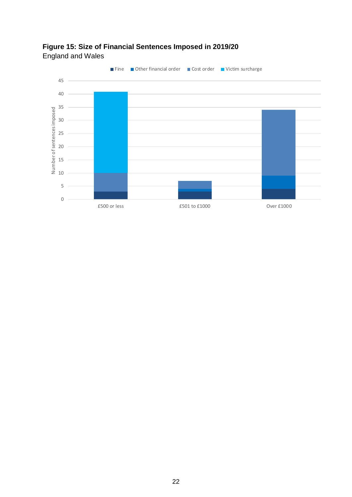

## **Figure 15: Size of Financial Sentences Imposed in 2019/20**

England and Wales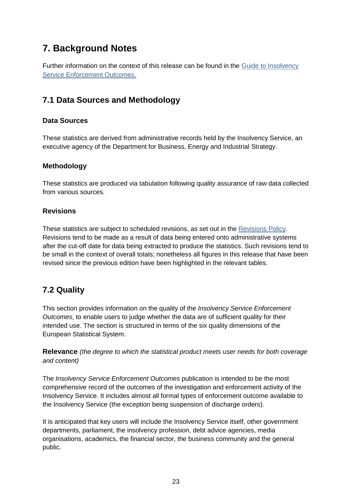## <span id="page-22-0"></span>**7. Background Notes**

Further information on the context of this release can be found in the [Guide to Insolvency](https://www.gov.uk/government/publications/guide-to-insolvency-service-enforcement-outcomes)  [Service Enforcement Outcomes.](https://www.gov.uk/government/publications/guide-to-insolvency-service-enforcement-outcomes)

### <span id="page-22-1"></span>**7.1 Data Sources and Methodology**

#### **Data Sources**

These statistics are derived from administrative records held by the Insolvency Service, an executive agency of the Department for Business, Energy and Industrial Strategy.

#### **Methodology**

These statistics are produced via tabulation following quality assurance of raw data collected from various sources.

#### **Revisions**

These statistics are subject to scheduled revisions, as set out in the [Revisions Policy.](https://www.gov.uk/government/publications/insolvency-statistics-policy-and-procedures) Revisions tend to be made as a result of data being entered onto administrative systems after the cut-off date for data being extracted to produce the statistics. Such revisions tend to be small in the context of overall totals; nonetheless all figures in this release that have been revised since the previous edition have been highlighted in the relevant tables.

## <span id="page-22-2"></span>**7.2 Quality**

This section provides information on the quality of the *Insolvency Service Enforcement Outcomes*, to enable users to judge whether the data are of sufficient quality for their intended use. The section is structured in terms of the six quality dimensions of the European Statistical System.

**Relevance** *(the degree to which the statistical product meets user needs for both coverage and content)*

The *Insolvency Service Enforcement Outcomes* publication is intended to be the most comprehensive record of the outcomes of the investigation and enforcement activity of the Insolvency Service. It includes almost all formal types of enforcement outcome available to the Insolvency Service (the exception being suspension of discharge orders).

It is anticipated that key users will include the Insolvency Service itself, other government departments, parliament, the insolvency profession, debt advice agencies, media organisations, academics, the financial sector, the business community and the general public.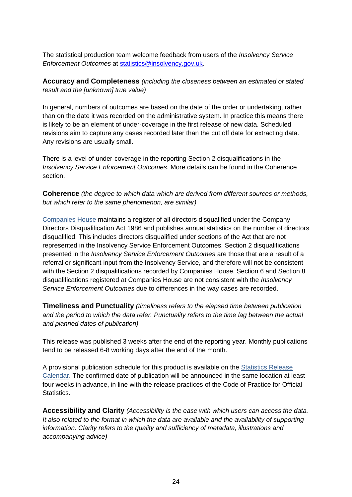The statistical production team welcome feedback from users of the *Insolvency Service Enforcement Outcomes* at [statistics@insolvency.gov.uk.](mailto:statistics@insolvency.gov.uk)

**Accuracy and Completeness** *(including the closeness between an estimated or stated result and the [unknown] true value)*

In general, numbers of outcomes are based on the date of the order or undertaking, rather than on the date it was recorded on the administrative system. In practice this means there is likely to be an element of under-coverage in the first release of new data. Scheduled revisions aim to capture any cases recorded later than the cut off date for extracting data. Any revisions are usually small.

There is a level of under-coverage in the reporting Section 2 disqualifications in the *Insolvency Service Enforcement Outcomes*. More details can be found in the Coherence section.

**Coherence** *(the degree to which data which are derived from different sources or methods, but which refer to the same phenomenon, are similar)*

[Companies House](https://www.gov.uk/government/organisations/companies-house) maintains a register of all directors disqualified under the Company Directors Disqualification Act 1986 and publishes annual statistics on the number of directors disqualified. This includes directors disqualified under sections of the Act that are not represented in the Insolvency Service Enforcement Outcomes. Section 2 disqualifications presented in the *Insolvency Service Enforcement Outcomes* are those that are a result of a referral or significant input from the Insolvency Service, and therefore will not be consistent with the Section 2 disqualifications recorded by Companies House. Section 6 and Section 8 disqualifications registered at Companies House are not consistent with the *Insolvency Service Enforcement Outcomes* due to differences in the way cases are recorded.

**Timeliness and Punctuality** *(timeliness refers to the elapsed time between publication and the period to which the data refer. Punctuality refers to the time lag between the actual and planned dates of publication)*

This release was published 3 weeks after the end of the reporting year. Monthly publications tend to be released 6-8 working days after the end of the month.

A provisional publication schedule for this product is available on the [Statistics Release](https://www.gov.uk/government/statistics/announcements?utf8=%E2%9C%93&organisations%5B%5D=insolvency-service)  [Calendar.](https://www.gov.uk/government/statistics/announcements?utf8=%E2%9C%93&organisations%5B%5D=insolvency-service) The confirmed date of publication will be announced in the same location at least four weeks in advance, in line with the release practices of the Code of Practice for Official **Statistics.** 

**Accessibility and Clarity** *(Accessibility is the ease with which users can access the data. It also related to the format in which the data are available and the availability of supporting information. Clarity refers to the quality and sufficiency of metadata, illustrations and accompanying advice)*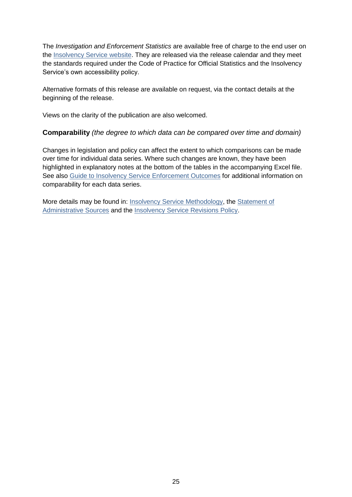The *Investigation and Enforcement Statistics* are available free of charge to the end user on the [Insolvency Service website.](https://www.gov.uk/government/organisations/insolvency-service) They are released via the release calendar and they meet the standards required under the Code of Practice for Official Statistics and the Insolvency Service's own accessibility policy.

Alternative formats of this release are available on request, via the contact details at the beginning of the release.

Views on the clarity of the publication are also welcomed.

#### **Comparability** *(the degree to which data can be compared over time and domain)*

Changes in legislation and policy can affect the extent to which comparisons can be made over time for individual data series. Where such changes are known, they have been highlighted in explanatory notes at the bottom of the tables in the accompanying Excel file. See also [Guide to Insolvency Service Enforcement Outcomes](https://www.gov.uk/government/publications/guide-to-insolvency-service-enforcement-outcomes) for additional information on comparability for each data series.

More details may be found in: [Insolvency Service Methodology,](https://www.gov.uk/government/publications/insolvency-statistics-policy-and-procedures) the [Statement of](https://www.gov.uk/government/publications/insolvency-statistics-policy-and-procedures)  [Administrative Sources](https://www.gov.uk/government/publications/insolvency-statistics-policy-and-procedures) and the [Insolvency Service Revisions Policy.](https://www.gov.uk/government/publications/insolvency-statistics-policy-and-procedures)